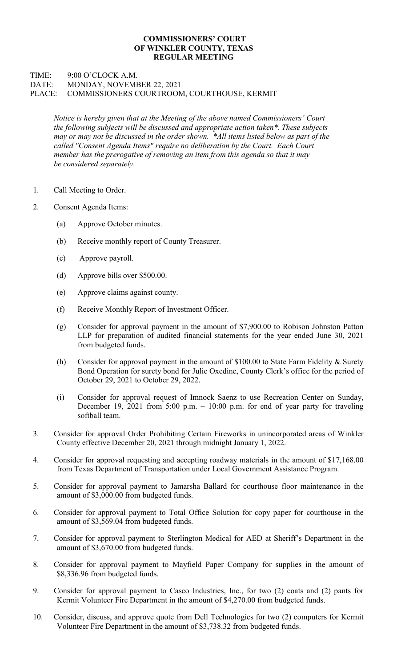## COMMISSIONERS' COURT OF WINKLER COUNTY, TEXAS REGULAR MEETING

## TIME: 9:00 O'CLOCK A.M. DATE: MONDAY, NOVEMBER 22, 2021 PLACE: COMMISSIONERS COURTROOM, COURTHOUSE, KERMIT

Notice is hereby given that at the Meeting of the above named Commissioners' Court the following subjects will be discussed and appropriate action taken\*. These subjects may or may not be discussed in the order shown. \*All items listed below as part of the called "Consent Agenda Items" require no deliberation by the Court. Each Court member has the prerogative of removing an item from this agenda so that it may be considered separately.

- 1. Call Meeting to Order.
- 2. Consent Agenda Items:
	- (a) Approve October minutes.
	- (b) Receive monthly report of County Treasurer.
	- (c) Approve payroll.
	- (d) Approve bills over \$500.00.
	- (e) Approve claims against county.
	- (f) Receive Monthly Report of Investment Officer.
	- (g) Consider for approval payment in the amount of \$7,900.00 to Robison Johnston Patton LLP for preparation of audited financial statements for the year ended June 30, 2021 from budgeted funds.
	- (h) Consider for approval payment in the amount of  $$100.00$  to State Farm Fidelity & Surety Bond Operation for surety bond for Julie Oxedine, County Clerk's office for the period of October 29, 2021 to October 29, 2022.
	- (i) Consider for approval request of Imnock Saenz to use Recreation Center on Sunday, December 19, 2021 from 5:00 p.m.  $- 10:00$  p.m. for end of year party for traveling softball team.
- 3. Consider for approval Order Prohibiting Certain Fireworks in unincorporated areas of Winkler County effective December 20, 2021 through midnight January 1, 2022.
- 4. Consider for approval requesting and accepting roadway materials in the amount of \$17,168.00 from Texas Department of Transportation under Local Government Assistance Program.
- 5. Consider for approval payment to Jamarsha Ballard for courthouse floor maintenance in the amount of \$3,000.00 from budgeted funds.
- 6. Consider for approval payment to Total Office Solution for copy paper for courthouse in the amount of \$3,569.04 from budgeted funds.
- 7. Consider for approval payment to Sterlington Medical for AED at Sheriff's Department in the amount of \$3,670.00 from budgeted funds.
- 8. Consider for approval payment to Mayfield Paper Company for supplies in the amount of \$8,336.96 from budgeted funds.
- 9. Consider for approval payment to Casco Industries, Inc., for two (2) coats and (2) pants for Kermit Volunteer Fire Department in the amount of \$4,270.00 from budgeted funds.
- 10. Consider, discuss, and approve quote from Dell Technologies for two (2) computers for Kermit Volunteer Fire Department in the amount of \$3,738.32 from budgeted funds.